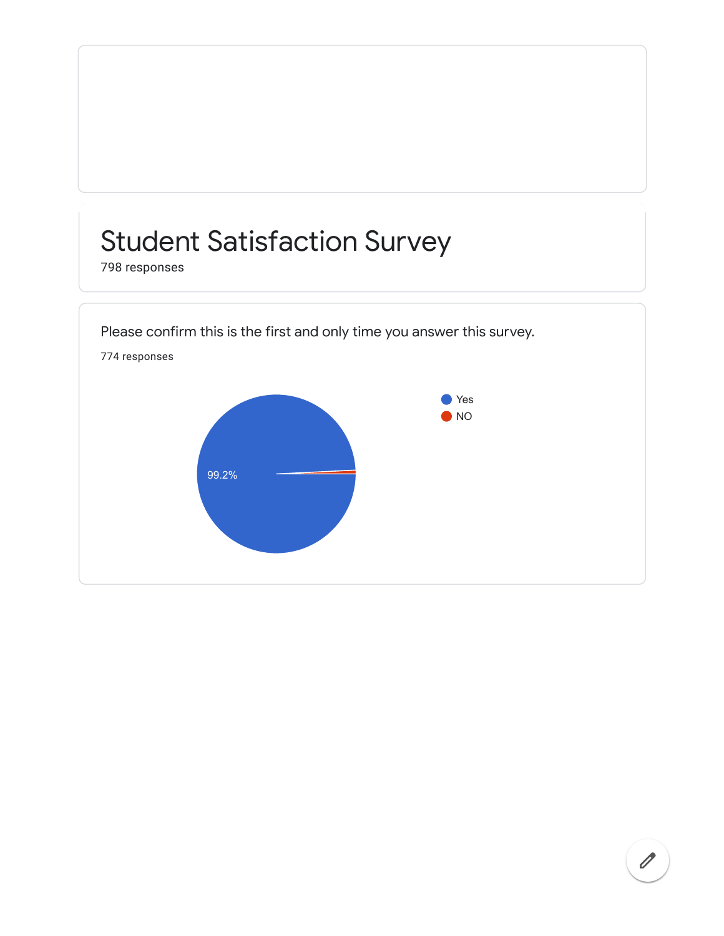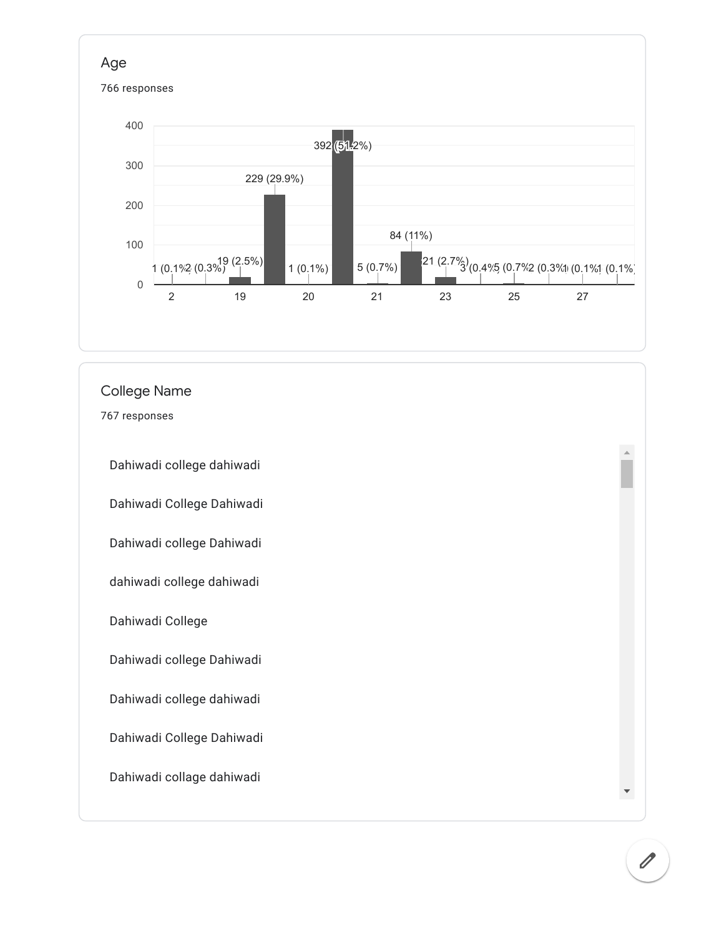

#### College Name

767 responses

Dahiwadi college dahiwadi

Dahiwadi College Dahiwadi

Dahiwadi college Dahiwadi

dahiwadi college dahiwadi

Dahiwadi College

Dahiwadi college Dahiwadi

Dahiwadi college dahiwadi

Dahiwadi College Dahiwadi

Dahiwadi collage dahiwadi

 $\bar{\mathbb{A}}$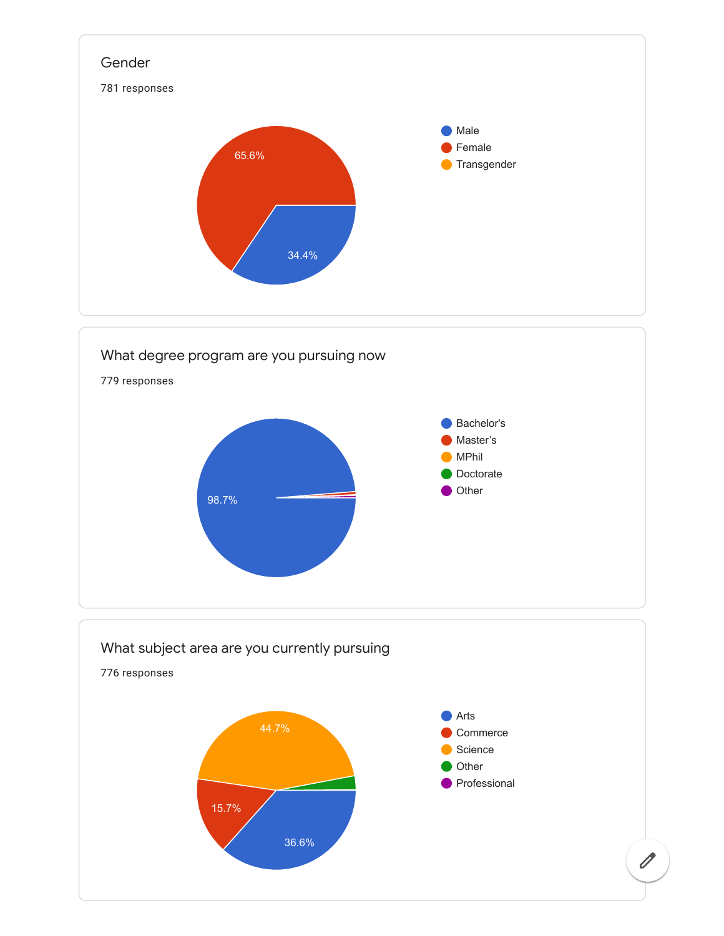

15.7%

36.6%

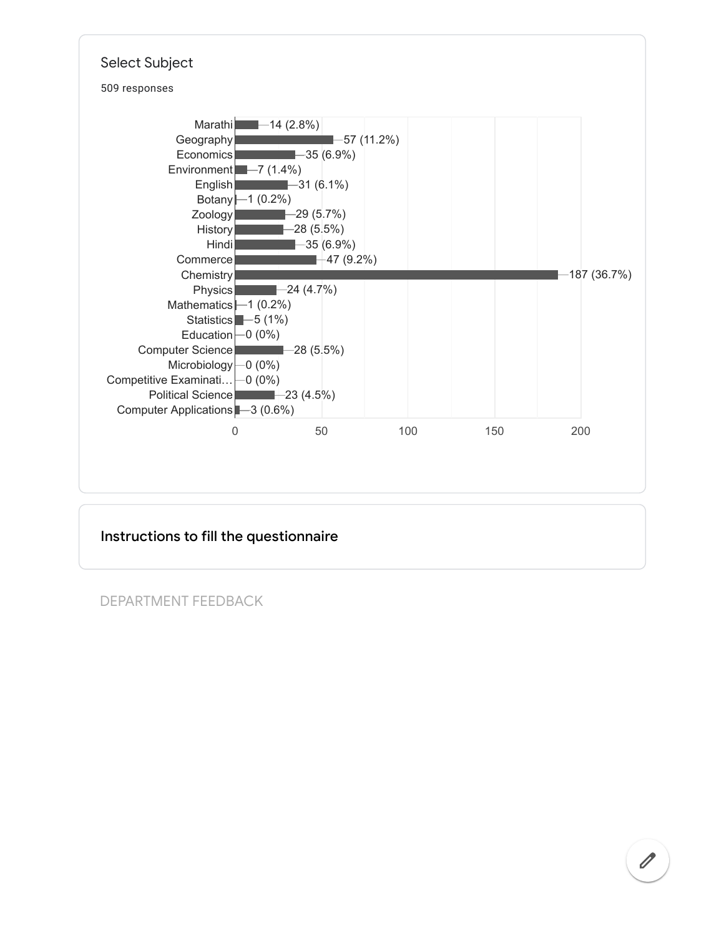

#### Instructions to fill the questionnaire

DEPARTMENT FEEDBACK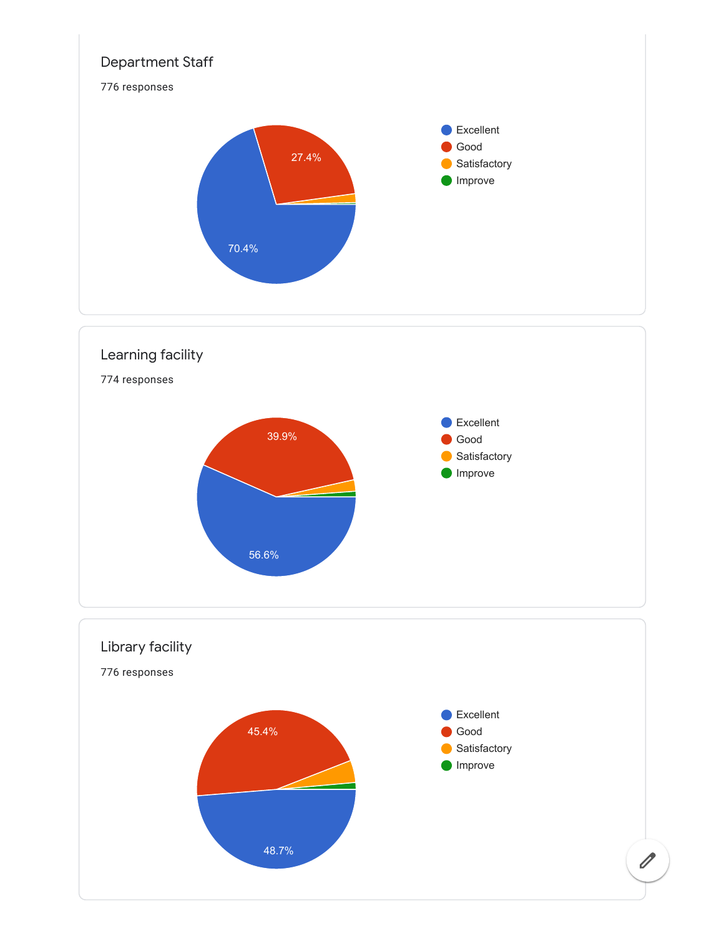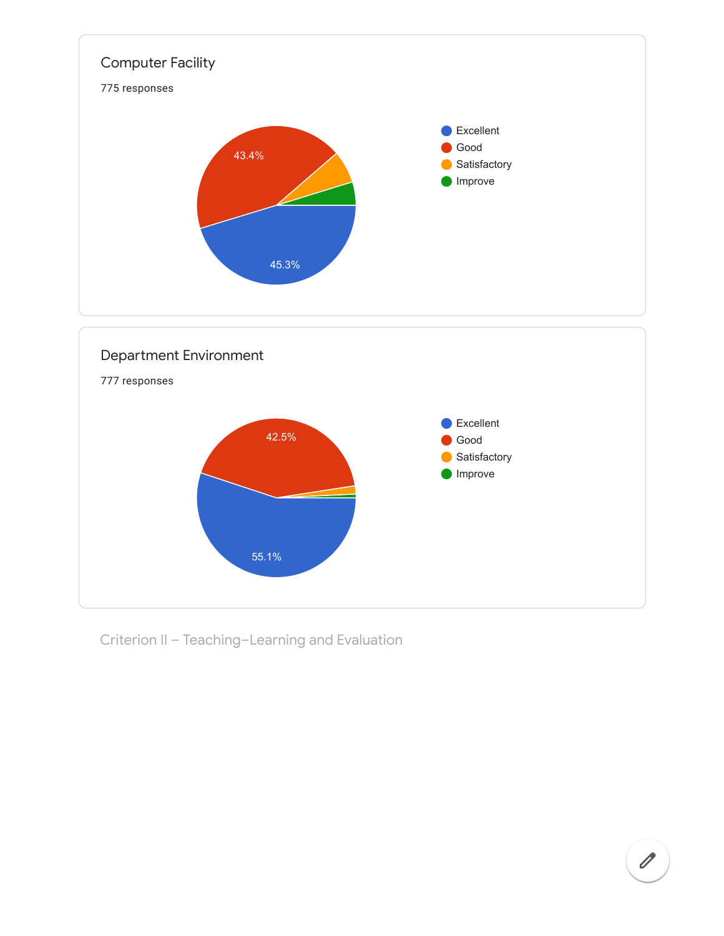

Criterion II – Teaching–Learning and Evaluation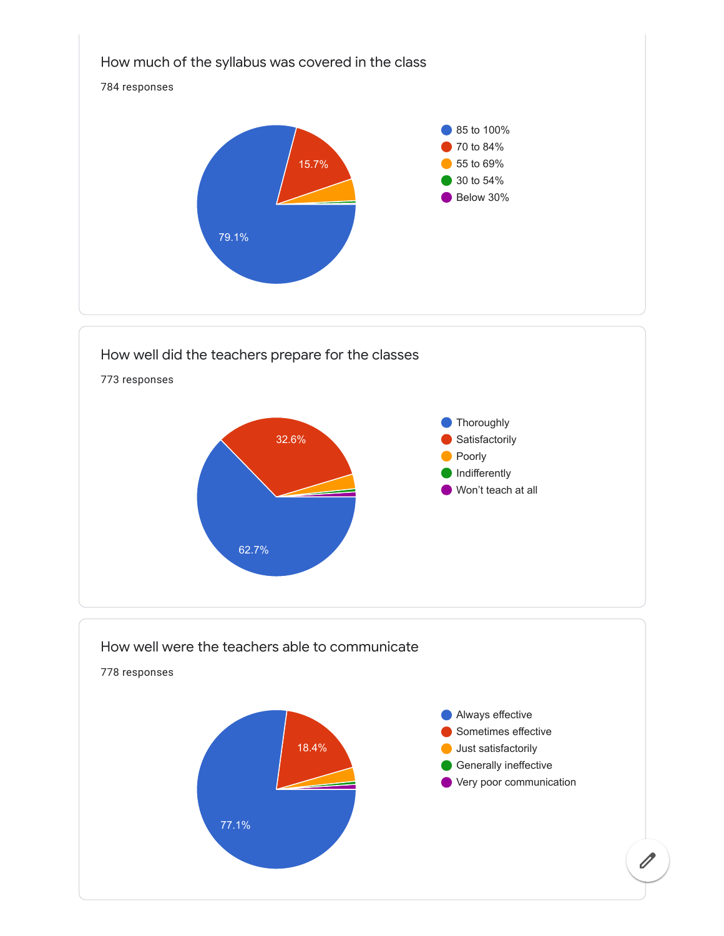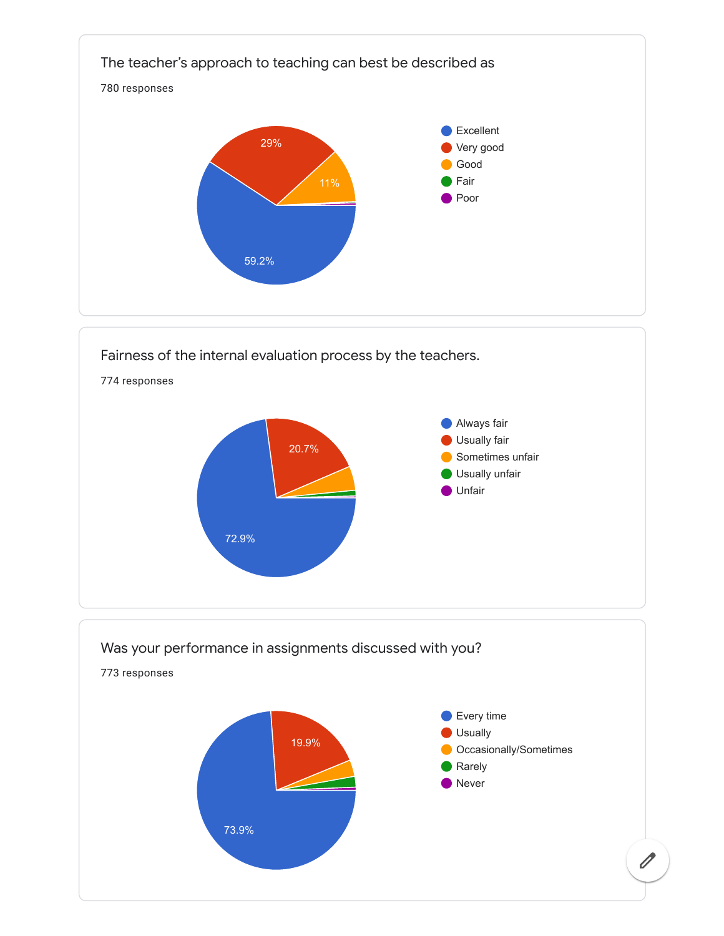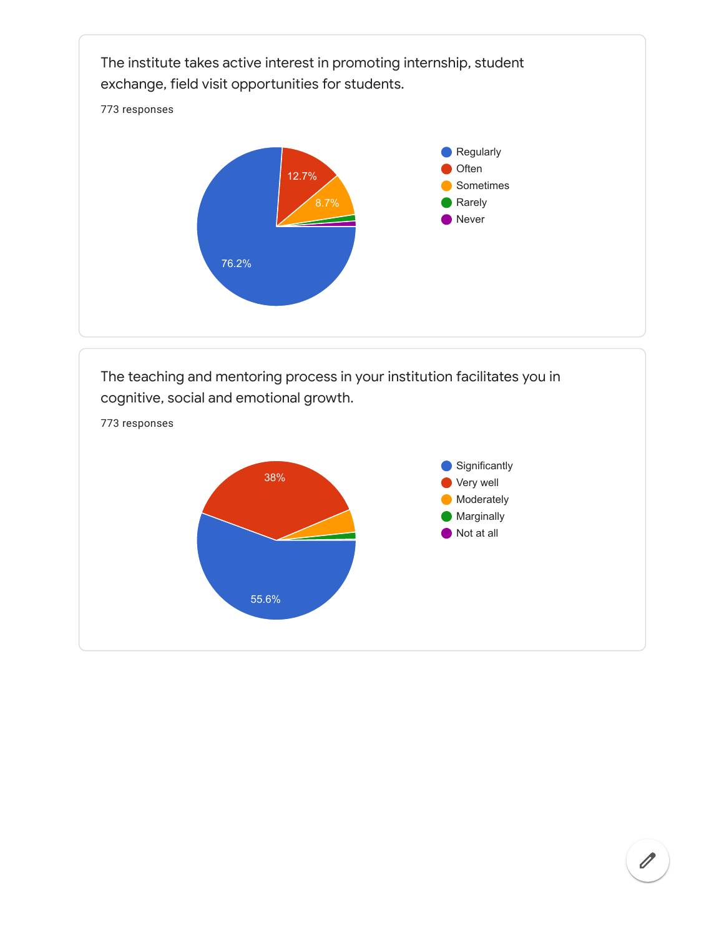

The teaching and mentoring process in your institution facilitates you in cognitive, social and emotional growth.

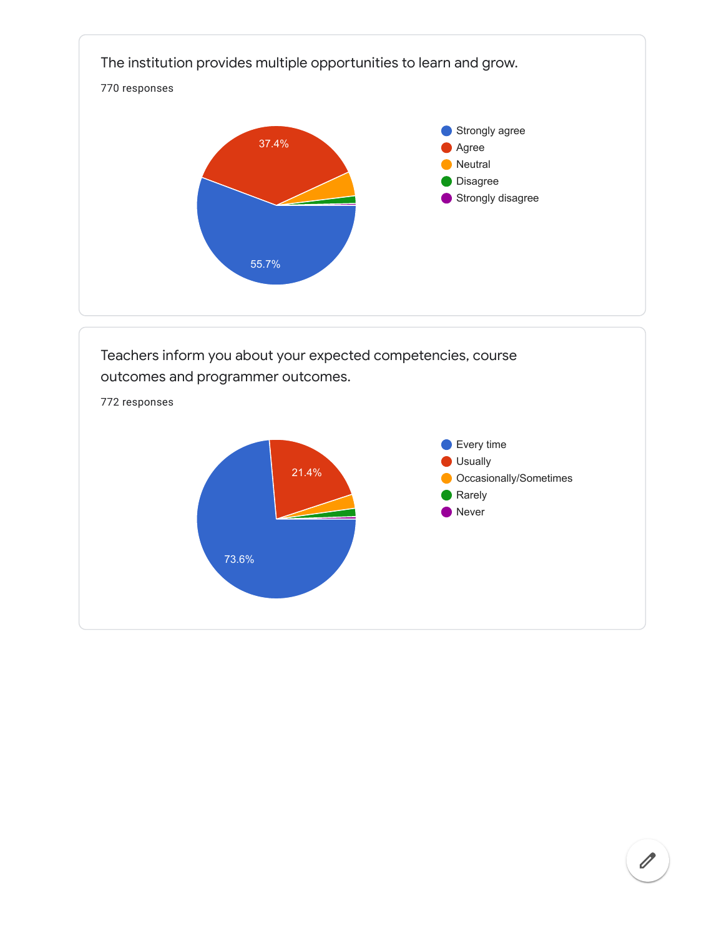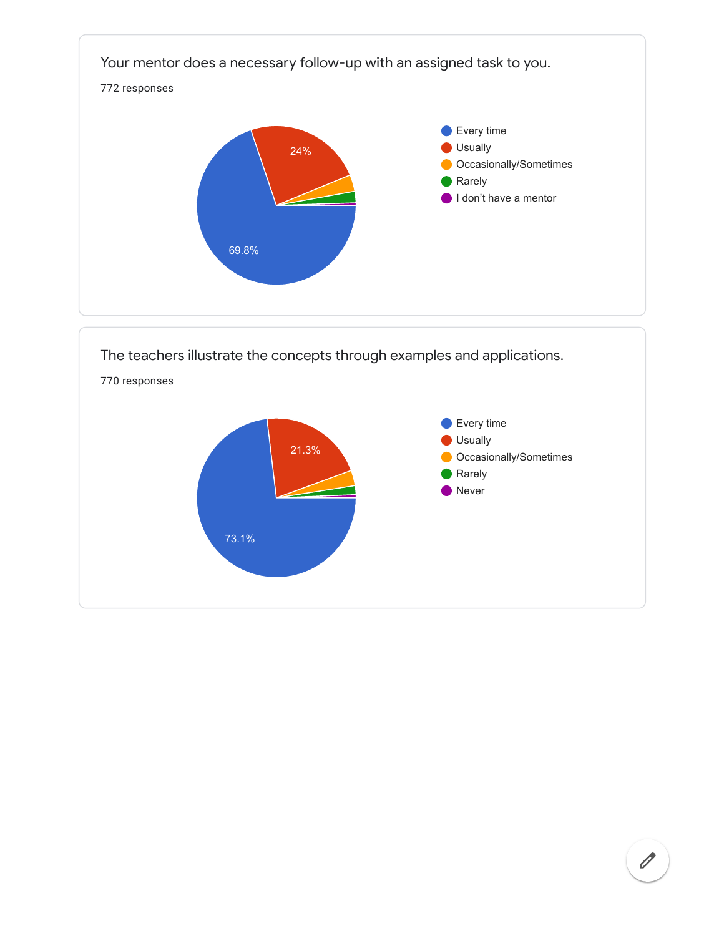

### $\overline{\mathscr{O}}$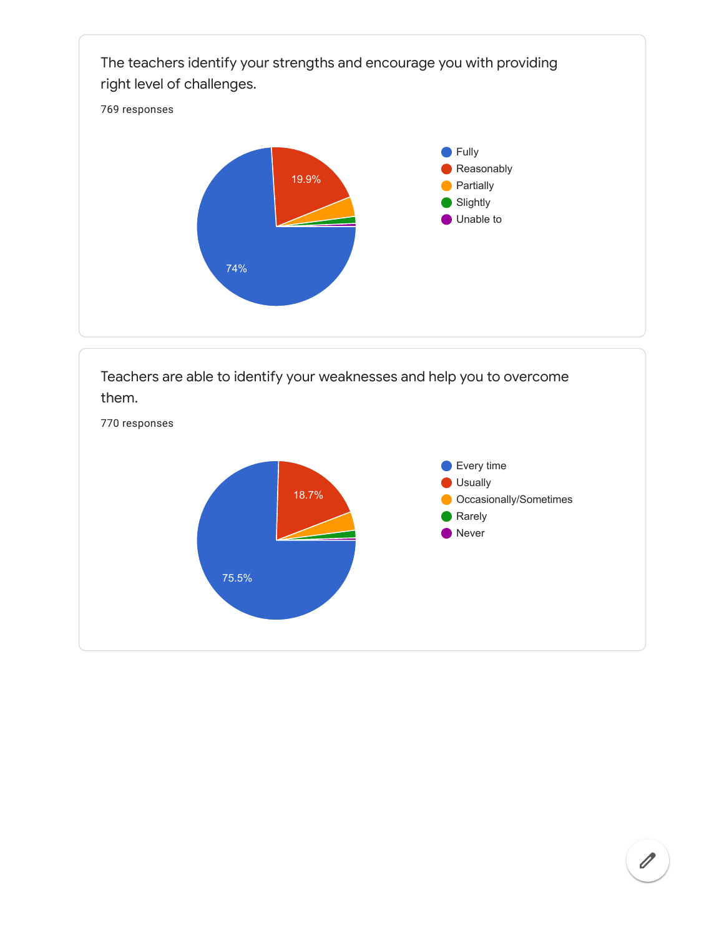

Teachers are able to identify your weaknesses and help you to overcome them.

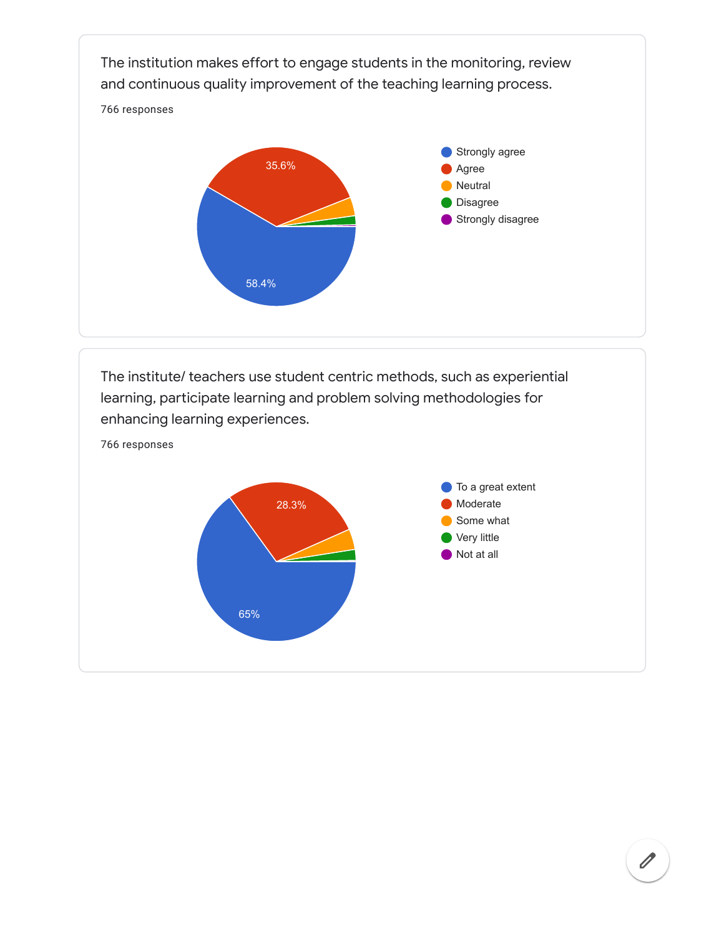

The institute/ teachers use student centric methods, such as experiential learning, participate learning and problem solving methodologies for enhancing learning experiences.

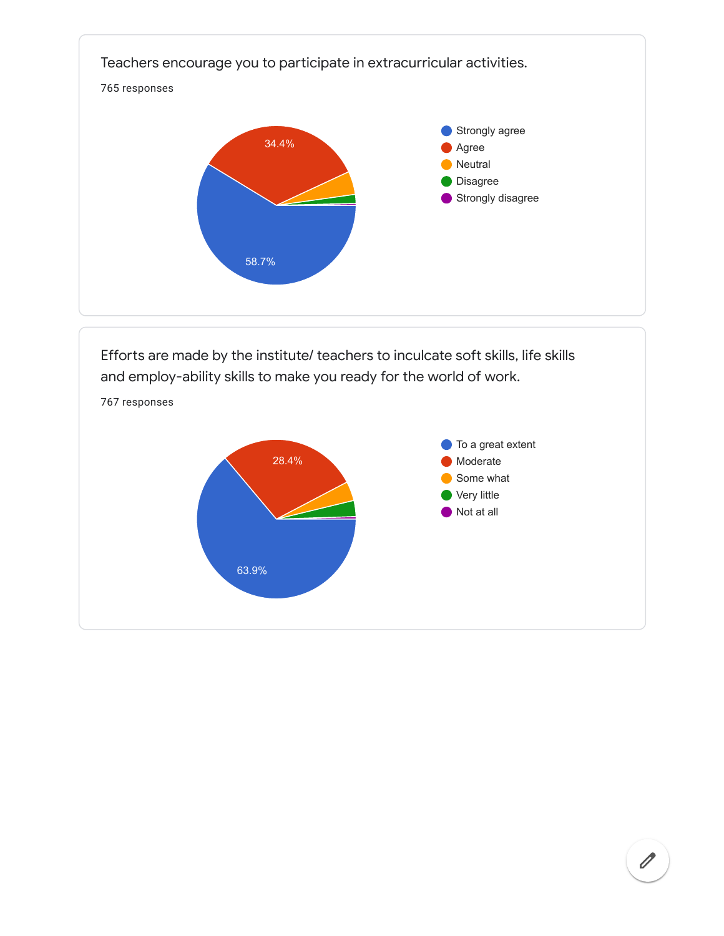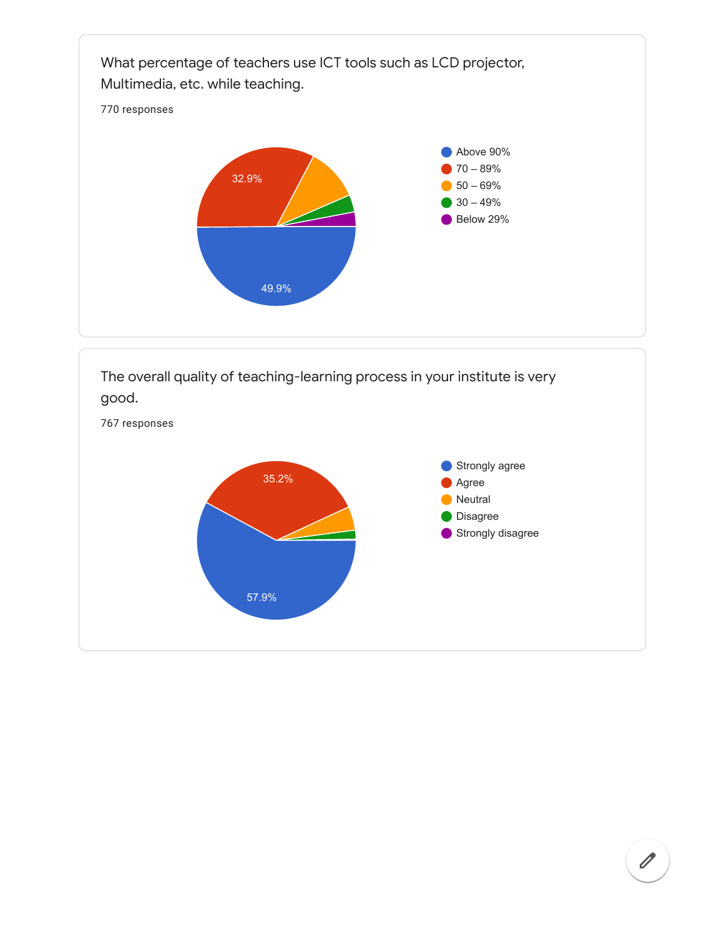

The overall quality of teaching-learning process in your institute is very good.

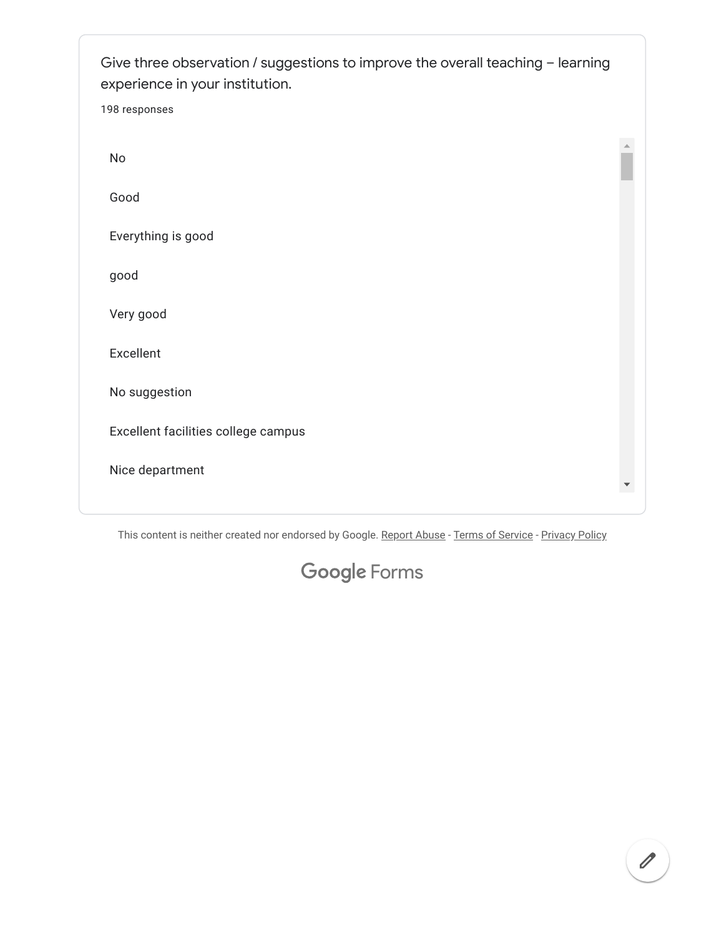| Give three observation / suggestions to improve the overall teaching - learning<br>experience in your institution.<br>198 responses |  |
|-------------------------------------------------------------------------------------------------------------------------------------|--|
| No                                                                                                                                  |  |
| Good                                                                                                                                |  |
| Everything is good                                                                                                                  |  |
| good                                                                                                                                |  |
| Very good                                                                                                                           |  |
| Excellent                                                                                                                           |  |
| No suggestion                                                                                                                       |  |
| Excellent facilities college campus                                                                                                 |  |
| Nice department                                                                                                                     |  |
|                                                                                                                                     |  |

This content is neither created nor endorsed by Google. [Report Abuse](https://docs.google.com/forms/d/1KCHP_9QI8eHRkZYTBE9WuaBunFOFMqIfhB7cGwDeNLs/reportabuse) - [Terms of Service](https://policies.google.com/terms) - [Privacy Policy](https://policies.google.com/privacy)

## Google [Forms](https://www.google.com/forms/about/?utm_source=product&utm_medium=forms_logo&utm_campaign=forms)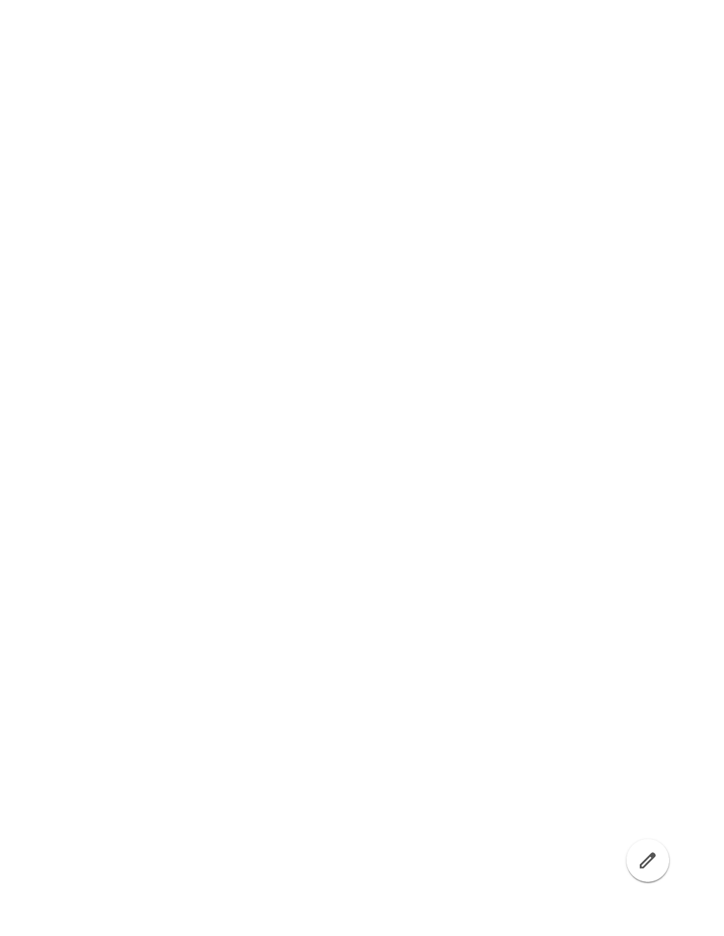# $\overline{\mathscr{O}}$